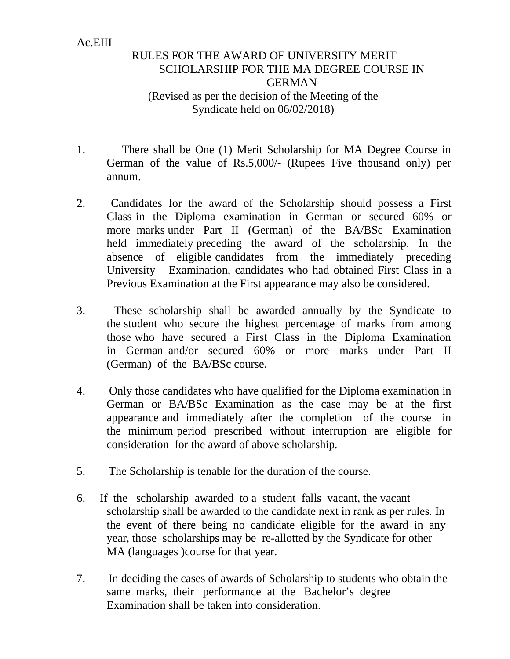## Ac.EIII

## RULES FOR THE AWARD OF UNIVERSITY MERIT SCHOLARSHIP FOR THE MA DEGREE COURSE IN GERMAN (Revised as per the decision of the Meeting of the Syndicate held on 06/02/2018)

- 1. There shall be One (1) Merit Scholarship for MA Degree Course in German of the value of Rs.5,000/- (Rupees Five thousand only) per annum.
- 2. Candidates for the award of the Scholarship should possess a First Class in the Diploma examination in German or secured 60% or more marks under Part II (German) of the BA/BSc Examination held immediately preceding the award of the scholarship. In the absence of eligible candidates from the immediately preceding University Examination, candidates who had obtained First Class in a Previous Examination at the First appearance may also be considered.
- 3. These scholarship shall be awarded annually by the Syndicate to the student who secure the highest percentage of marks from among those who have secured a First Class in the Diploma Examination in German and/or secured 60% or more marks under Part II (German) of the BA/BSc course.
- 4. Only those candidates who have qualified for the Diploma examination in German or BA/BSc Examination as the case may be at the first appearance and immediately after the completion of the course in the minimum period prescribed without interruption are eligible for consideration for the award of above scholarship.
- 5. The Scholarship is tenable for the duration of the course.
- 6. If the scholarship awarded to a student falls vacant, the vacant scholarship shall be awarded to the candidate next in rank as per rules. In the event of there being no candidate eligible for the award in any year, those scholarships may be re-allotted by the Syndicate for other MA (languages )course for that year.
- 7. In deciding the cases of awards of Scholarship to students who obtain the same marks, their performance at the Bachelor's degree Examination shall be taken into consideration.